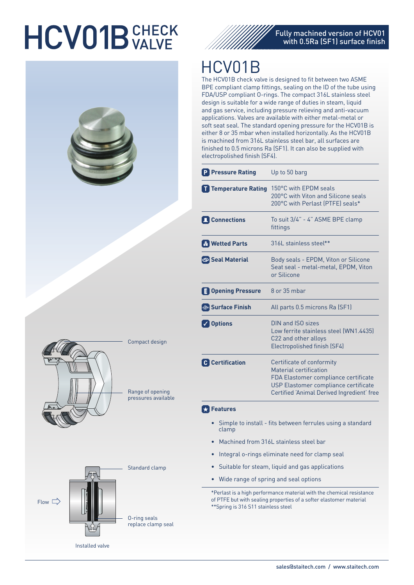# **HCV01B** VALVE





### HCV01B

The HCV01B check valve is designed to fit between two ASME BPE compliant clamp fittings, sealing on the ID of the tube using FDA/USP compliant O-rings. The compact 316L stainless steel design is suitable for a wide range of duties in steam, liquid and gas service, including pressure relieving and anti-vacuum applications. Valves are available with either metal-metal or soft seat seal. The standard opening pressure for the HCV01B is either 8 or 35 mbar when installed horizontally. As the HCV01B is machined from 316L stainless steel bar, all surfaces are finished to 0.5 microns Ra (SF1). It can also be supplied with electropolished finish (SF4).

| <b>P</b> Pressure Rating | Up to 50 barg                                                                                                                                                                     |
|--------------------------|-----------------------------------------------------------------------------------------------------------------------------------------------------------------------------------|
| Temperature Rating       | 150°C with FPDM seals<br>200°C with Viton and Silicone seals<br>200°C with Perlast (PTFE) seals*                                                                                  |
| <b>L</b> Connections     | To suit 3/4" - 4" ASME BPE clamp<br>fittings                                                                                                                                      |
| <b>R</b> Wetted Parts    | 316 stainless steel**                                                                                                                                                             |
| Seal Material            | Body seals - EPDM, Viton or Silicone<br>Seat seal - metal-metal, EPDM, Viton<br>or Silicone                                                                                       |
| <b>Dening Pressure</b>   | $8$ or $35$ mbar                                                                                                                                                                  |
| <b>WA Surface Finish</b> | All parts 0.5 microns Ra (SF1)                                                                                                                                                    |
| √ Options                | DIN and ISO sizes<br>Low ferrite stainless steel (WN1.4435)<br>C22 and other alloys<br>Electropolished finish (SF4)                                                               |
| <b>C</b> Certification   | Certificate of conformity<br>Material certification<br>FDA Elastomer compliance certificate<br>USP Elastomer compliance certificate<br>Certified 'Animal Derived Ingredient' free |

### **Features**

- Simple to install fits between ferrules using a standard clamp
- Machined from 316L stainless steel bar
- Integral o-rings eliminate need for clamp seal
- Suitable for steam, liquid and gas applications
- Wide range of spring and seal options

\*Perlast is a high performance material with the chemical resistance of PTFE but with sealing properties of a softer elastomer material \*\*Spring is 316 S11 stainless steel





Compact design

Range of opening pressures available

Installed valve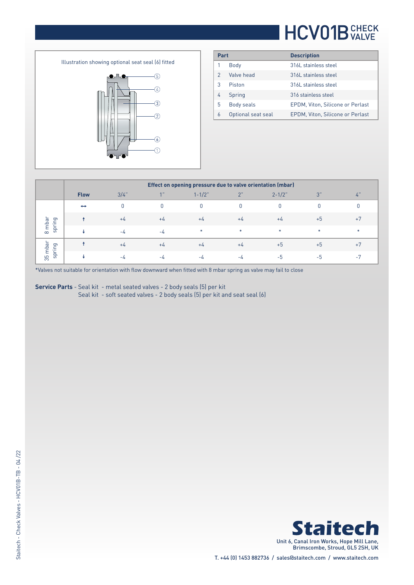### **HCV01B** CHECK

Illustration showing optional seat seal (6) fitted  $\circledS$  $\bullet$  $\overline{A}$  $\circledS$  $\circled{2}$  $\bigcirc$ 

| Part          |                    | <b>Description</b>               |
|---------------|--------------------|----------------------------------|
|               | Body               | 316 stainless steel              |
| $\mathcal{P}$ | Valve head         | 316 stainless steel              |
| 3             | Piston             | 316L stainless steel             |
| 4             | Spring             | 316 stainless steel              |
| 5             | Body seals         | EPDM, Viton, Silicone or Perlast |
| 6             | Optional seat seal | EPDM, Viton, Silicone or Perlast |

|                               | Effect on opening pressure due to valve orientation (mbar) |         |       |            |        |             |      |      |  |  |  |
|-------------------------------|------------------------------------------------------------|---------|-------|------------|--------|-------------|------|------|--|--|--|
|                               | <b>Flow</b>                                                | $3/4$ " | A     | $1 - 1/2"$ | 2"     | $2 - 1/2$ " | 3"   | 4"   |  |  |  |
| mbar<br>ing<br>ds<br>$\infty$ | $\leftrightarrow$                                          |         |       |            |        |             |      |      |  |  |  |
|                               |                                                            | $+4$    | $+4$  | $+4$       | $+4$   | $+4$        | $+5$ | $+7$ |  |  |  |
|                               |                                                            | $-I1$   | $-L$  | $\ast$     | $\ast$ | $\ast$      |      |      |  |  |  |
| mbar<br>ing<br>pr<br>35       |                                                            | $+4$    | $+4$  | $+4$       | $+4$   | $+5$        | $+5$ | $+7$ |  |  |  |
|                               |                                                            | $-4$    | $-I1$ | -4         | -4     | -5          | -5   | $-7$ |  |  |  |

\*Valves not suitable for orientation with flow downward when fitted with 8 mbar spring as valve may fail to close

**Service Parts** - Seal kit - metal seated valves - 2 body seals (5) per kit Seal kit - soft seated valves - 2 body seals (5) per kit and seat seal (6)

> **Staitech** Unit 6, Canal Iron Works, Hope Mill Lane, Brimscombe, Stroud, GL5 2SH, UK